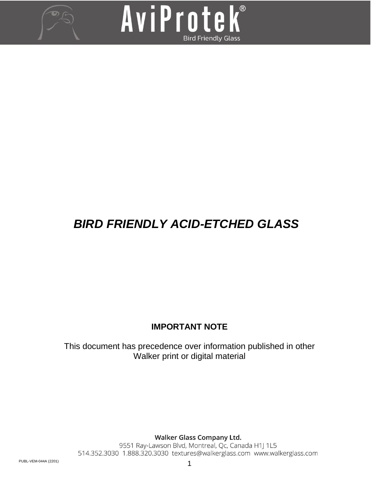



# *BIRD FRIENDLY ACID-ETCHED GLASS*

# **IMPORTANT NOTE**

This document has precedence over information published in other Walker print or digital material

**Walker Glass Company Ltd.**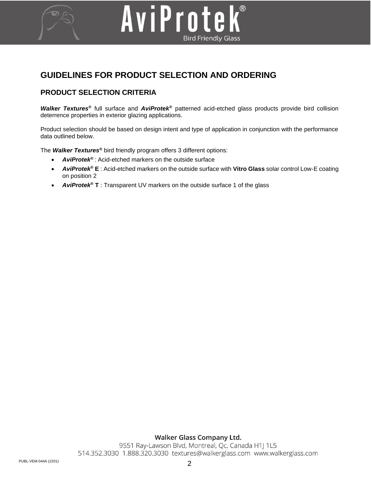# **GUIDELINES FOR PRODUCT SELECTION AND ORDERING**

## **PRODUCT SELECTION CRITERIA**

*Walker Textures®* full surface and *AviProtek®* patterned acid-etched glass products provide bird collision deterrence properties in exterior glazing applications.

AviProtek®

**Bird Friendly Glass** 

Product selection should be based on design intent and type of application in conjunction with the performance data outlined below.

The *Walker Textures®* bird friendly program offers 3 different options:

- *AviProtek®* : Acid-etched markers on the outside surface
- *AviProtek®* **E** : Acid-etched markers on the outside surface with **Vitro Glass** solar control Low-E coating on position 2
- *AviProtek®* **T** : Transparent UV markers on the outside surface 1 of the glass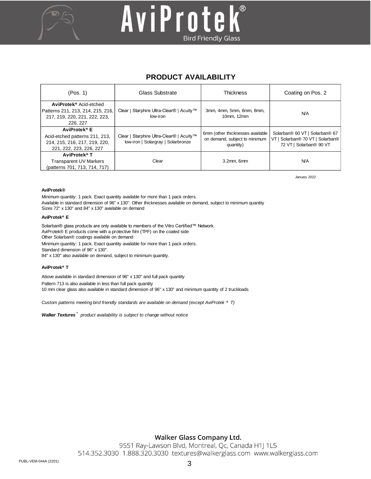

# AviProtek® **Bird Friendly Glass**

# **PRODUCT AVAILABILITY**

| (Pos. 1)                                                                                                               | Glass Substrate                                                                | <b>Thickness</b>                                                               | Coating on Pos. 2                                                                                                        |  |
|------------------------------------------------------------------------------------------------------------------------|--------------------------------------------------------------------------------|--------------------------------------------------------------------------------|--------------------------------------------------------------------------------------------------------------------------|--|
| AviProtek <sup>®</sup> Acid-etched<br>Patterns 211, 213, 214, 215, 216,<br>217, 219, 220, 221, 222, 223,<br>226, 227   | Clear   Starphire Ultra-Clear®   Acuity™<br>low-iron                           | 3mm, 4mm, 5mm, 6mm, 8mm,<br>10mm, 12mm                                         | <b>N/A</b>                                                                                                               |  |
| AviProtek <sup>®</sup> E<br>Acid-etched patterns 211, 213,<br>214, 215, 216, 217, 219, 220,<br>221, 222, 223, 226, 227 | Clear   Starphire Ultra-Clear®   Acuity™<br>low-iron   Solargray   Solarbronze | 6mm (other thicknesses available<br>on demand, subject to minimum<br>quantity) | Solarban® 60 VT   Solarban® 67<br>Solarban <sup>®</sup> 70 VT   Solarban <sup>®</sup><br>VT I<br>72 VT   Solarban® 90 VT |  |
| AviProtek <sup>®</sup> T<br><b>Transparent UV Markers</b><br>(patterns 701, 713, 714, 717)                             | Clear                                                                          | 3.2mm, 6mm                                                                     | <b>N/A</b>                                                                                                               |  |

January 2022

#### **AviProtek®**

Minimum quantity: 1 pack. Exact quantity available for more than 1 pack orders. Available in standard dimension of 96" x 130". Other thicknesses available on demand, subject to minimum quantity Sizes 72" x 130" and 84" x 130" available on demand

#### **AviProtek® E**

Solarban® glass products are only available to members of the Vitro Certified™ Network. AviProtek® E products come with a protective film (TPF) on the coated side Other Solarban® coatings available on demand Minimum quantity: 1 pack. Exact quantity available for more than 1 pack orders. Standard dimension of 96" x 130". 84" x 130" also available on demand, subject to minimum quantity.

#### **AviProtek® T**

Above available in standard dimension of 96" x 130" and full pack quantity

Pattern 713 is also available in less than full pack quantity

10 mm clear glass also available in standard dimension of 96" x 130" and minimum quantity of 2 truckloads

*Custom patterns meeting bird friendly standards are available on demand (except AviProtek ® T)*

*Walker Textures ® product availability is subject to change without notice*

## Walker Glass Company Ltd.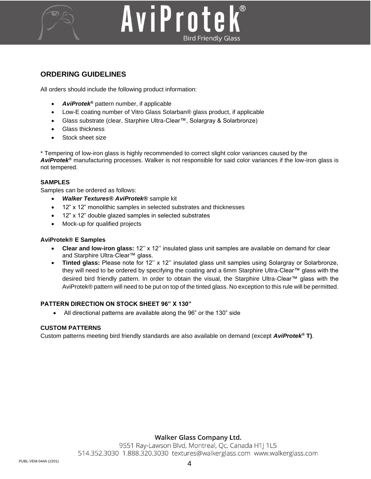

# AviProtek **Bird Friendly Glass**

## **ORDERING GUIDELINES**

All orders should include the following product information:

- *AviProtek®* pattern number, if applicable
- Low-E coating number of Vitro Glass Solarban® glass product, if applicable
- Glass substrate (clear, Starphire Ultra-Clear™, Solargray & Solarbronze)
- Glass thickness
- Stock sheet size

\* Tempering of low-iron glass is highly recommended to correct slight color variances caused by the *AviProtek®* manufacturing processes. Walker is not responsible for said color variances if the low-iron glass is not tempered.

#### **SAMPLES**

Samples can be ordered as follows:

- *Walker Textures® AviProtek®* sample kit
- 12" x 12" monolithic samples in selected substrates and thicknesses
- 12" x 12" double glazed samples in selected substrates
- Mock-up for qualified projects

#### **AviProtek® E Samples**

- **Clear and low-iron glass:** 12'' x 12'' insulated glass unit samples are available on demand for clear and Starphire Ultra-Clear™ glass.
- **Tinted glass:** Please note for 12'' x 12'' insulated glass unit samples using Solargray or Solarbronze, they will need to be ordered by specifying the coating and a 6mm Starphire Ultra-Clear™ glass with the desired bird friendly pattern. In order to obtain the visual, the Starphire Ultra-Clear™ glass with the AviProtek® pattern will need to be put on top of the tinted glass. No exception to this rule will be permitted.

#### **PATTERN DIRECTION ON STOCK SHEET 96" X 130"**

• All directional patterns are available along the 96" or the 130" side

#### **CUSTOM PATTERNS**

Custom patterns meeting bird friendly standards are also available on demand (except *AviProtek®* **T)**.

## Walker Glass Company Ltd.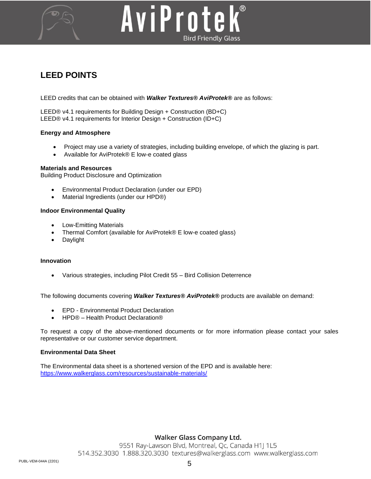

# AviProtek **Bird Friendly Glass**

# **LEED POINTS**

LEED credits that can be obtained with *Walker Textures® AviProtek®* are as follows:

LEED® v4.1 requirements for Building Design + Construction (BD+C) LEED® v4.1 requirements for Interior Design + Construction (ID+C)

#### **Energy and Atmosphere**

- Project may use a variety of strategies, including building envelope, of which the glazing is part.
- Available for AviProtek® E low-e coated glass

#### **Materials and Resources**

Building Product Disclosure and Optimization

- Environmental Product Declaration (under our EPD)
- Material Ingredients (under our HPD®)

#### **Indoor Environmental Quality**

- Low-Emitting Materials
- Thermal Comfort (available for AviProtek® E low-e coated glass)
- Daylight

#### **Innovation**

• Various strategies, including Pilot Credit 55 – Bird Collision Deterrence

The following documents covering *Walker Textures® AviProtek®* products are available on demand:

- EPD Environmental Product Declaration
- HPD® Health Product Declaration®

To request a copy of the above-mentioned documents or for more information please contact your sales representative or our customer service department.

#### **Environmental Data Sheet**

The Environmental data sheet is a shortened version of the EPD and is available here: <https://www.walkerglass.com/resources/sustainable-materials/>

## Walker Glass Company Ltd.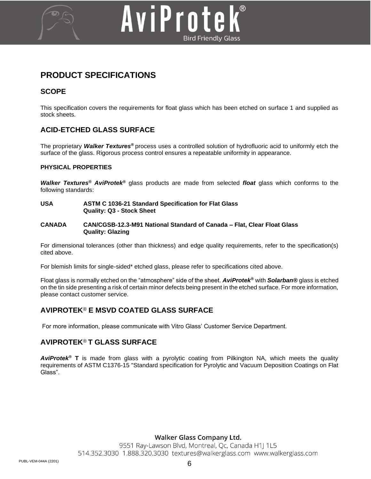

# **PRODUCT SPECIFICATIONS**

## **SCOPE**

This specification covers the requirements for float glass which has been etched on surface 1 and supplied as stock sheets.

## **ACID-ETCHED GLASS SURFACE**

The proprietary *Walker Textures®* process uses a controlled solution of hydrofluoric acid to uniformly etch the surface of the glass. Rigorous process control ensures a repeatable uniformity in appearance.

#### **PHYSICAL PROPERTIES**

*Walker Textures® AviProtek®* glass products are made from selected *float* glass which conforms to the following standards:

#### **USA ASTM C 1036-21 Standard Specification for Flat Glass Quality: Q3 - Stock Sheet**

#### **CANADA CAN/CGSB-12.3-M91 National Standard of Canada – Flat, Clear Float Glass Quality: Glazing**

For dimensional tolerances (other than thickness) and edge quality requirements, refer to the specification(s) cited above.

For blemish limits for single-sided\* etched glass, please refer to specifications cited above.

Float glass is normally etched on the "atmosphere" side of the sheet. *AviProtek®* with *Solarban®* glass is etched on the tin side presenting a risk of certain minor defects being present in the etched surface. For more information, please contact customer service.

# **AVIPROTEK***®* **E MSVD COATED GLASS SURFACE**

For more information, please communicate with Vitro Glass' Customer Service Department.

## **AVIPROTEK***®* **T GLASS SURFACE**

*AviProtek®* **T** is made from glass with a pyrolytic coating from Pilkington NA, which meets the quality requirements of ASTM C1376-15 "Standard specification for Pyrolytic and Vacuum Deposition Coatings on Flat Glass".

## Walker Glass Company Ltd.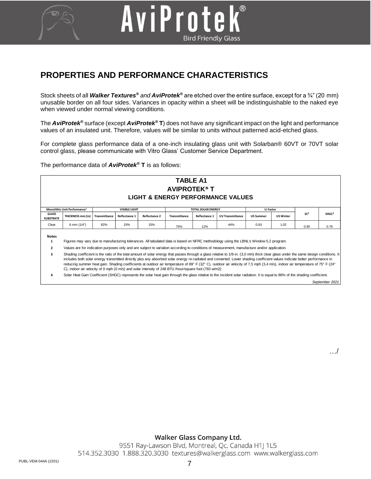# **PROPERTIES AND PERFORMANCE CHARACTERISTICS**

AviProte

Stock sheets of all *Walker Textures® and AviProtek®* are etched over the entire surface, except for a ¾" (20 mm) unusable border on all four sides. Variances in opacity within a sheet will be indistinguishable to the naked eye when viewed under normal viewing conditions.

**Bird Friendly Glass** 

The *AviProtek®* surface (except *AviProtek®* **T**) does not have any significant impact on the light and performance values of an insulated unit. Therefore, values will be similar to units without patterned acid-etched glass.

For complete glass performance data of a one-inch insulating glass unit with Solarban® 60VT or 70VT solar control glass, please communicate with Vitro Glass' Customer Service Department.

The performance data of *AviProtek®* **T** is as follows:

#### **GLASS SUBSTRATE THICKNESS mm (in) Transmittance Reflectance 1 Reflectance 2 Transmittance Reflectance 1 UV Transmittance US Summer US Winter** Clear | 6 mm(1/4") | 82% | 15% | 15% | <sub>75%</sub> | <sub>12%</sub> | 44% | 0.93 | 1.02 | <sub>0.90</sub> | <sub>0.79</sub> **Notes 1 2 3 TABLE A1 AVIPROTEK® T LIGHT & ENERGY PERFORMANCE VALUES** Figures may vary due to manufacturing tolerances. All tabulated data is based on NFRC methodology using the LBNL's Window 5,2 program. Values are for indication purposes only and are subject to variation according to conditions of measurement, manufacture and/or application. **VISIBLE LIGHT TOTAL SOLAR ENERGY** Shading coefficient is the ratio of the total amount of solar energy that passes through a glass relative to 1/8-in. (3,0 mm) thick clear glass under the same design conditions. It includes both solar energy transmitted directly plus any absorbed solar energy re-radiated and converted. Lower shading coefficient values indicate better performance in **SHGC<sup>⁴</sup> SC<sup>³</sup> Monolithic Unit Performance¹ U-Factor**

reducing summer heat gain. Shading coefficients at outdoor air temperature of 89° F (32° C), outdoor air velocity of 7,5 mph (3,4 m/s), indoor air temperature of 75° F (24° C), indoor air velocity of 0 mph (0 m/s) and solar intensity of 248 BTU /hour/square foot (783 w/m2).

**4** Solar Heat Gain Coefficient (SHGC) represents the solar heat gain through the glass relative to the incident solar radiation. It is equal to 86% of the shading coefficient.

*September 2021*

…/

## Walker Glass Company Ltd.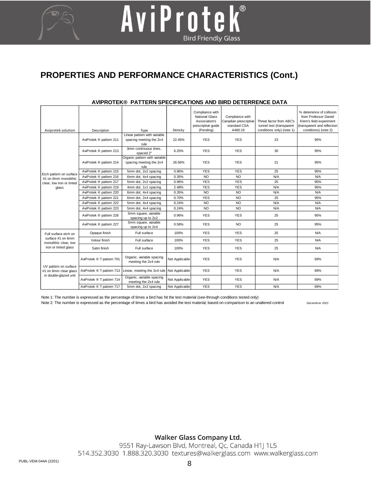# **PROPERTIES AND PERFORMANCE CHARACTERISTICS (Cont.)**

| Aviprotek solution                                                                         | Description               | Type<br>Linear pattern with variable                             | Density        | Compliance with<br><b>National Glass</b><br>Association's<br>prescriptive quide<br>(Pending) | Compliance with<br>Canadian prescriptive<br>standard CSA<br>A460:19 | Threat factor from ABC's<br>tunnel test (transparent<br>conditions only) (note 1) | % deterrence of collision<br>from Professor Daniel<br>Klem's field experiment<br>(transparent and reflection<br>conditions) (note 2) |
|--------------------------------------------------------------------------------------------|---------------------------|------------------------------------------------------------------|----------------|----------------------------------------------------------------------------------------------|---------------------------------------------------------------------|-----------------------------------------------------------------------------------|--------------------------------------------------------------------------------------------------------------------------------------|
| Etch pattern on surface<br>#1 on 6mm monolithic<br>clear, low iron or tinted<br>glass      | AviProtek ® pattern 211   | spacing meeting the 2x4<br>rule                                  | 22.45%         | <b>YES</b>                                                                                   | <b>YES</b>                                                          | 23                                                                                | 95%                                                                                                                                  |
|                                                                                            | AviProtek ® pattern 213   | 3mm continuous lines.<br>spaced 2"                               | 6.25%          | <b>YES</b>                                                                                   | <b>YES</b>                                                          | 30                                                                                | 95%                                                                                                                                  |
|                                                                                            | AviProtek ® pattern 214   | Organic pattern with variable<br>spacing meeting the 2x4<br>rule | 26.56%         | <b>YES</b>                                                                                   | <b>YES</b>                                                          | 21                                                                                | 95%                                                                                                                                  |
|                                                                                            | AviProtek ® pattern 215   | 5mm dot, 2x2 spacing                                             | 0.96%          | <b>YES</b>                                                                                   | <b>YES</b>                                                          | 25                                                                                | 95%                                                                                                                                  |
|                                                                                            | AviProtek ® pattern 216   | 6mm dot, 4x4 spacing                                             | 0.35%          | <b>NO</b>                                                                                    | <b>NO</b>                                                           | N/A                                                                               | N/A                                                                                                                                  |
|                                                                                            | AviProtek ® pattern 217   | 5mm dot, 2x2 spacing                                             | 0.96%          | <b>YES</b>                                                                                   | <b>YES</b>                                                          | 25                                                                                | 95%                                                                                                                                  |
|                                                                                            | AviProtek ® pattern 219   | 4mm dot, 1x1 spacing                                             | 2.48%          | <b>YES</b>                                                                                   | <b>YES</b>                                                          | N/A                                                                               | 95%                                                                                                                                  |
|                                                                                            | AviProtek ® pattern 220   | 6mm dot, 4x4 spacing                                             | 0.35%          | <b>NO</b>                                                                                    | <b>NO</b>                                                           | N/A                                                                               | N/A                                                                                                                                  |
|                                                                                            | AviProtek ® pattern 221   | 6mm dot, 2x4 spacing                                             | 0.70%          | <b>YES</b>                                                                                   | <b>NO</b>                                                           | 25                                                                                | 95%                                                                                                                                  |
|                                                                                            | AviProtek ® pattern 222   | 5mm dot, 4x4 spacing                                             | 0.24%          | <b>NO</b>                                                                                    | <b>NO</b>                                                           | N/A                                                                               | N/A                                                                                                                                  |
|                                                                                            | AviProtek ® pattern 223   | 5mm dot, 4x4 spacing                                             | 0.24%          | <b>NO</b>                                                                                    | <b>NO</b>                                                           | N/A                                                                               | N/A                                                                                                                                  |
|                                                                                            | AviProtek ® pattern 226   | 5mm square, variable<br>spacing up to 2x2                        | 0.96%          | <b>YES</b>                                                                                   | <b>YES</b>                                                          | 25                                                                                | 95%                                                                                                                                  |
|                                                                                            | AviProtek ® pattern 227   | 5mm square, variable<br>spacing up to 2x4                        | 0.58%          | <b>YES</b>                                                                                   | <b>NO</b>                                                           | 25                                                                                | 95%                                                                                                                                  |
| Full surface etch on<br>surface #1 on 6mm<br>monolithic clear, low<br>iron or tinted glass | Opaque finish             | Full surface                                                     | 100%           | <b>YES</b>                                                                                   | <b>YES</b>                                                          | 25                                                                                | N/A                                                                                                                                  |
|                                                                                            | Velour finish             | Full surface                                                     | 100%           | <b>YES</b>                                                                                   | <b>YES</b>                                                          | 25                                                                                | N/A                                                                                                                                  |
|                                                                                            | Satin finish              | Full surface                                                     | 100%           | <b>YES</b>                                                                                   | <b>YES</b>                                                          | 25                                                                                | N/A                                                                                                                                  |
| UV pattern on surface<br>#1 on 6mm clear glass<br>in double-glazed unit                    | AviProtek ® T pattern 701 | Organic, variable spacing<br>meeting the 2x4 rule                | Not Applicable | <b>YES</b>                                                                                   | <b>YES</b>                                                          | N/A                                                                               | 69%                                                                                                                                  |
|                                                                                            | AviProtek ® T pattern 713 | Linear, meeting the 2x4 rule                                     | Not Applicable | <b>YES</b>                                                                                   | <b>YES</b>                                                          | N/A                                                                               | 69%                                                                                                                                  |
|                                                                                            | AviProtek ® T pattern 714 | Organic, variable spacing<br>meeting the 2x4 rule                | Not Applicable | <b>YES</b>                                                                                   | <b>YES</b>                                                          | N/A                                                                               | 69%                                                                                                                                  |
|                                                                                            | AviProtek ® T pattern 717 | 5mm dot, 2x2 spacing                                             | Not Applicable | <b>YES</b>                                                                                   | <b>YES</b>                                                          | N/A                                                                               | 69%                                                                                                                                  |

#### **AVIPROTEK® PATTERN SPECIFICATIONS AND BIRD DETERRENCE DATA**

AviProtek®

**Bird Friendly Glass** 

Note 1: The number is expressed as the percentage of times a bird has hit the test material (see-through conditions tested only)

Note 2: The number is expressed as the percentage of times a bird has avoided the test material, based on comparison to an unaltered control *Decembrer 2021*

## **Walker Glass Company Ltd.**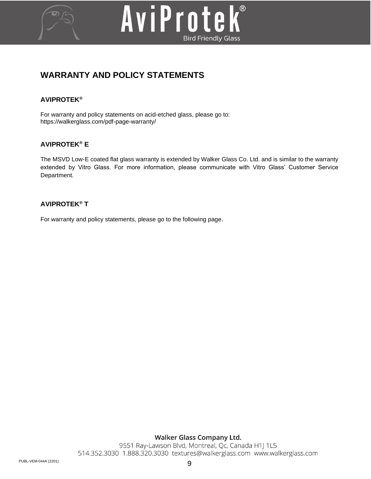

# AviProtek® **Bird Friendly Glass**

# **WARRANTY AND POLICY STATEMENTS**

# **AVIPROTEK***®*

For warranty and policy statements on acid-etched glass, please go to: <https://walkerglass.com/pdf-page-warranty/>

# **AVIPROTEK***®* **E**

The MSVD Low-E coated flat glass warranty is extended by Walker Glass Co. Ltd. and is similar to the warranty extended by Vitro Glass. For more information, please communicate with Vitro Glass' Customer Service Department.

## **AVIPROTEK***®* **T**

For warranty and policy statements, please go to the following page.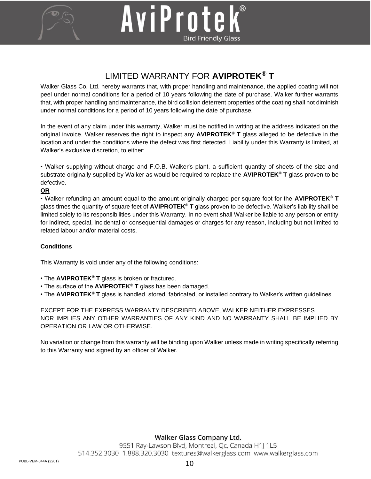



# LIMITED WARRANTY FOR **AVIPROTEK**® **T**

Walker Glass Co. Ltd. hereby warrants that, with proper handling and maintenance, the applied coating will not peel under normal conditions for a period of 10 years following the date of purchase. Walker further warrants that, with proper handling and maintenance, the bird collision deterrent properties of the coating shall not diminish under normal conditions for a period of 10 years following the date of purchase.

In the event of any claim under this warranty, Walker must be notified in writing at the address indicated on the original invoice. Walker reserves the right to inspect any **AVIPROTEK***®* **T** glass alleged to be defective in the location and under the conditions where the defect was first detected. Liability under this Warranty is limited, at Walker's exclusive discretion, to either:

• Walker supplying without charge and F.O.B. Walker's plant, a sufficient quantity of sheets of the size and substrate originally supplied by Walker as would be required to replace the **AVIPROTEK***®* **T** glass proven to be defective.

#### **OR**

• Walker refunding an amount equal to the amount originally charged per square foot for the **AVIPROTEK***®* **T**  glass times the quantity of square feet of **AVIPROTEK***®* **T** glass proven to be defective. Walker's liability shall be limited solely to its responsibilities under this Warranty. In no event shall Walker be liable to any person or entity for indirect, special, incidental or consequential damages or charges for any reason, including but not limited to related labour and/or material costs.

## **Conditions**

This Warranty is void under any of the following conditions:

- The **AVIPROTEK***®* **T** glass is broken or fractured.
- The surface of the **AVIPROTEK***®* **T** glass has been damaged.
- The **AVIPROTEK***®* **T** glass is handled, stored, fabricated, or installed contrary to Walker's written guidelines.

EXCEPT FOR THE EXPRESS WARRANTY DESCRIBED ABOVE, WALKER NEITHER EXPRESSES NOR IMPLIES ANY OTHER WARRANTIES OF ANY KIND AND NO WARRANTY SHALL BE IMPLIED BY OPERATION OR LAW OR OTHERWISE.

No variation or change from this warranty will be binding upon Walker unless made in writing specifically referring to this Warranty and signed by an officer of Walker.

## Walker Glass Company Ltd.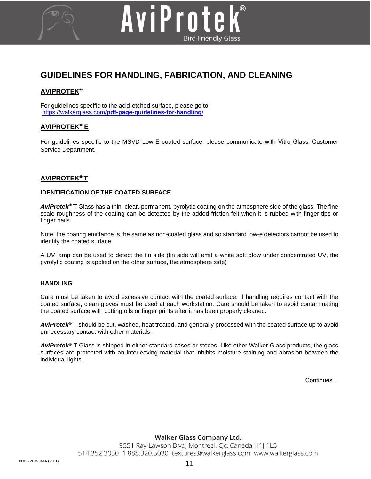# **GUIDELINES FOR HANDLING, FABRICATION, AND CLEANING**

AviProtek

**Bird Friendly Glass** 

## **AVIPROTEK***®*

For guidelines specific to the acid-etched surface, please go to: https://walkerglass.com/**[pdf-page-guidelines-for-handling](https://walkerglass.com/pdf-page-guidelines-for-handling/)**/

## **AVIPROTEK***®* **E**

For guidelines specific to the MSVD Low-E coated surface, please communicate with Vitro Glass' Customer Service Department.

#### **AVIPROTEK***®* **T**

#### **IDENTIFICATION OF THE COATED SURFACE**

*AviProtek®* **T** Glass has a thin, clear, permanent, pyrolytic coating on the atmosphere side of the glass. The fine scale roughness of the coating can be detected by the added friction felt when it is rubbed with finger tips or finger nails.

Note: the coating emittance is the same as non-coated glass and so standard low-e detectors cannot be used to identify the coated surface.

A UV lamp can be used to detect the tin side (tin side will emit a white soft glow under concentrated UV, the pyrolytic coating is applied on the other surface, the atmosphere side)

#### **HANDLING**

Care must be taken to avoid excessive contact with the coated surface. If handling requires contact with the coated surface, clean gloves must be used at each workstation. Care should be taken to avoid contaminating the coated surface with cutting oils or finger prints after it has been properly cleaned.

*AviProtek®* **T** should be cut, washed, heat treated, and generally processed with the coated surface up to avoid unnecessary contact with other materials.

*AviProtek®* **T** Glass is shipped in either standard cases or stoces. Like other Walker Glass products, the glass surfaces are protected with an interleaving material that inhibits moisture staining and abrasion between the individual lights.

Continues…

Walker Glass Company Ltd.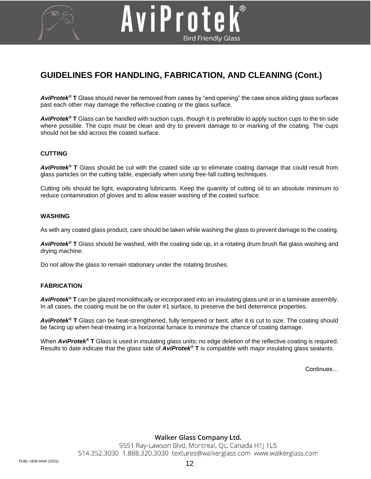# **GUIDELINES FOR HANDLING, FABRICATION, AND CLEANING (Cont.)**

AviProte

*AviProtek®* **T** Glass should never be removed from cases by "end opening" the case since sliding glass surfaces past each other may damage the reflective coating or the glass surface.

**Bird Friendly Glass** 

*AviProtek®* **T** Glass can be handled with suction cups, though it is preferable to apply suction cups to the tin side where possible. The cups must be clean and dry to prevent damage to or marking of the coating. The cups should not be slid across the coated surface.

#### **CUTTING**

*AviProtek®* **T** Glass should be cut with the coated side up to eliminate coating damage that could result from glass particles on the cutting table, especially when using free-fall cutting techniques.

Cutting oils should be light, evaporating lubricants. Keep the quantity of cutting oil to an absolute minimum to reduce contamination of gloves and to allow easier washing of the coated surface.

#### **WASHING**

As with any coated glass product, care should be taken while washing the glass to prevent damage to the coating.

*AviProtek®* **T** Glass should be washed, with the coating side up, in a rotating drum brush flat glass washing and drying machine.

Do not allow the glass to remain stationary under the rotating brushes.

#### **FABRICATION**

*AviProtek®* **T** can be glazed monolithically or incorporated into an insulating glass unit or in a laminate assembly. In all cases, the coating must be on the outer #1 surface, to preserve the bird deterrence properties.

*AviProtek®* **T** Glass can be heat-strengthened, fully tempered or bent, after it is cut to size. The coating should be facing up when heat-treating in a horizontal furnace to minimize the chance of coating damage.

When **AviProtek<sup>®</sup> T** Glass is used in insulating glass units; no edge deletion of the reflective coating is required. Results to date indicate that the glass side of *AviProtek®* **T** is compatible with major insulating glass sealants.

Continues…

Walker Glass Company Ltd.